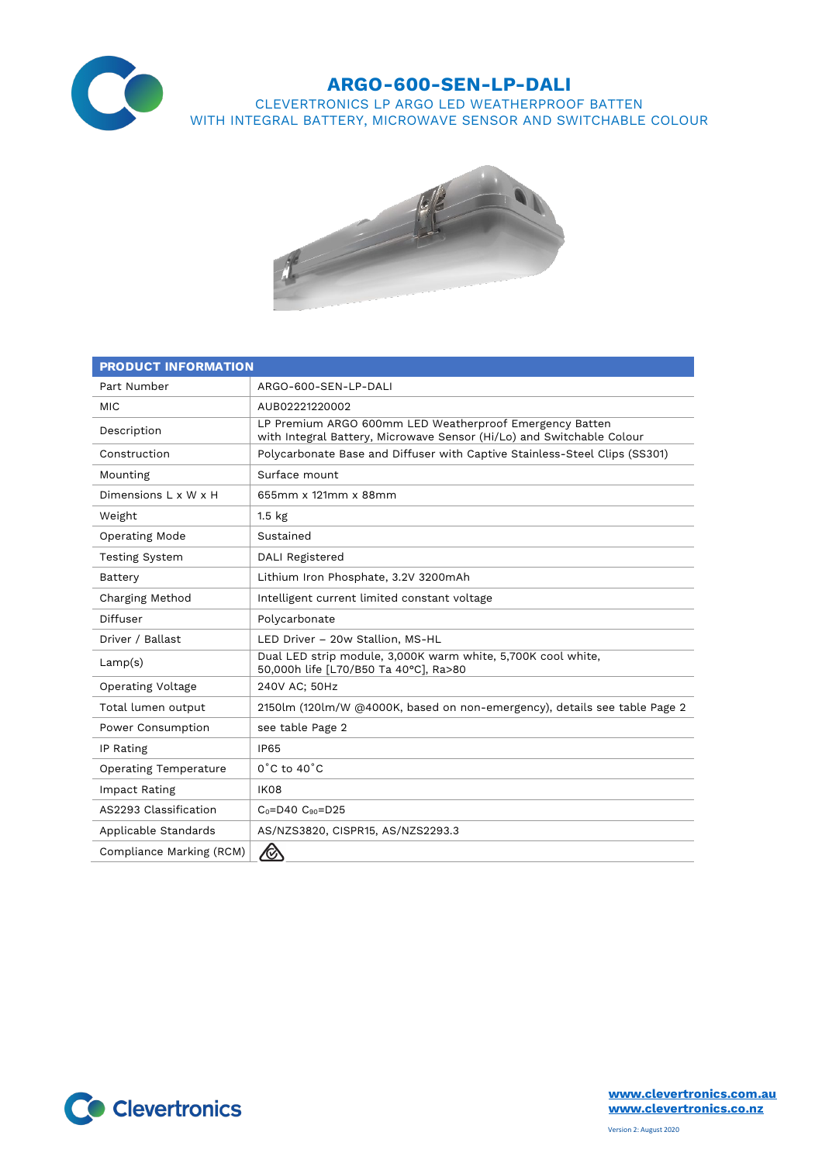

## **ARGO-600-SEN-LP-DALI**

CLEVERTRONICS LP ARGO LED WEATHERPROOF BATTEN WITH INTEGRAL BATTERY, MICROWAVE SENSOR AND SWITCHABLE COLOUR



| <b>PRODUCT INFORMATION</b>   |                                                                                                                                  |
|------------------------------|----------------------------------------------------------------------------------------------------------------------------------|
| Part Number                  | ARGO-600-SEN-LP-DALI                                                                                                             |
| <b>MIC</b>                   | AUB02221220002                                                                                                                   |
| Description                  | LP Premium ARGO 600mm LED Weatherproof Emergency Batten<br>with Integral Battery, Microwave Sensor (Hi/Lo) and Switchable Colour |
| Construction                 | Polycarbonate Base and Diffuser with Captive Stainless-Steel Clips (SS301)                                                       |
| Mounting                     | Surface mount                                                                                                                    |
| Dimensions L x W x H         | 655mm x 121mm x 88mm                                                                                                             |
| Weight                       | 1.5 <sub>kg</sub>                                                                                                                |
| Operating Mode               | Sustained                                                                                                                        |
| <b>Testing System</b>        | <b>DALI Registered</b>                                                                                                           |
| Battery                      | Lithium Iron Phosphate, 3.2V 3200mAh                                                                                             |
| Charging Method              | Intelligent current limited constant voltage                                                                                     |
| Diffuser                     | Polycarbonate                                                                                                                    |
| Driver / Ballast             | LED Driver - 20w Stallion, MS-HL                                                                                                 |
| Lamp(s)                      | Dual LED strip module, 3,000K warm white, 5,700K cool white,<br>50,000h life [L70/B50 Ta 40°C], Ra>80                            |
| Operating Voltage            | 240V AC; 50Hz                                                                                                                    |
| Total lumen output           | 2150lm (120lm/W @4000K, based on non-emergency), details see table Page 2                                                        |
| Power Consumption            | see table Page 2                                                                                                                 |
| IP Rating                    | <b>IP65</b>                                                                                                                      |
| <b>Operating Temperature</b> | $0^{\circ}$ C to 40 $^{\circ}$ C                                                                                                 |
| Impact Rating                | IK08                                                                                                                             |
| AS2293 Classification        | $C_0 = D40$ $C_{90} = D25$                                                                                                       |
| Applicable Standards         | AS/NZS3820, CISPR15, AS/NZS2293.3                                                                                                |
| Compliance Marking (RCM)     | ◈                                                                                                                                |